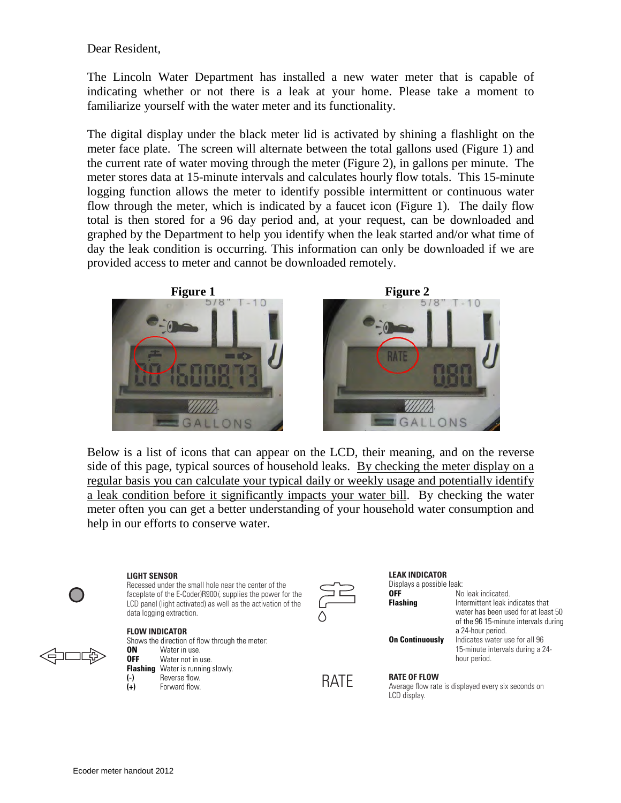Dear Resident,

The Lincoln Water Department has installed a new water meter that is capable of indicating whether or not there is a leak at your home. Please take a moment to familiarize yourself with the water meter and its functionality.

The digital display under the black meter lid is activated by shining a flashlight on the meter face plate. The screen will alternate between the total gallons used (Figure 1) and the current rate of water moving through the meter (Figure 2), in gallons per minute. The meter stores data at 15-minute intervals and calculates hourly flow totals. This 15-minute logging function allows the meter to identify possible intermittent or continuous water flow through the meter, which is indicated by a faucet icon (Figure 1). The daily flow total is then stored for a 96 day period and, at your request, can be downloaded and graphed by the Department to help you identify when the leak started and/or what time of day the leak condition is occurring. This information can only be downloaded if we are provided access to meter and cannot be downloaded remotely.





Below is a list of icons that can appear on the LCD, their meaning, and on the reverse side of this page, typical sources of household leaks. By checking the meter display on a regular basis you can calculate your typical daily or weekly usage and potentially identify a leak condition before it significantly impacts your water bill. By checking the water meter often you can get a better understanding of your household water consumption and help in our efforts to conserve water.